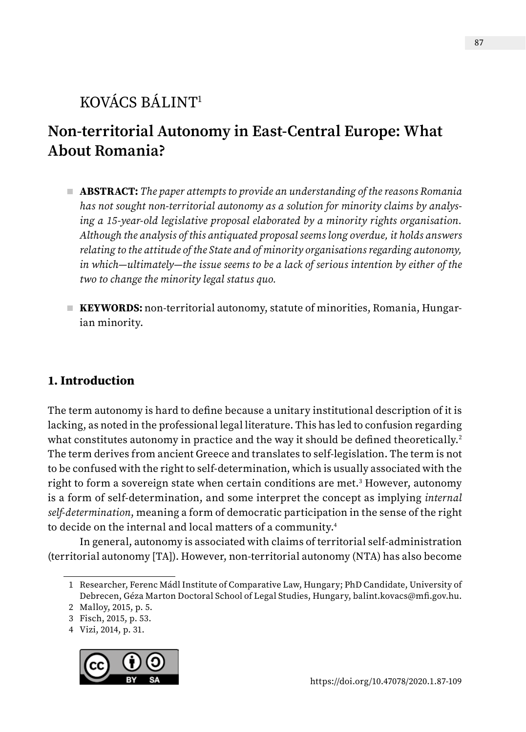# KOVÁCS BÁLINT1

# **Non-territorial Autonomy in East-Central Europe: What About Romania?**

- **ABSTRACT:** *The paper attempts to provide an understanding of the reasons Romania has not sought non-territorial autonomy as a solution for minority claims by analysing a 15-year-old legislative proposal elaborated by a minority rights organisation. Although the analysis of this antiquated proposal seems long overdue, it holds answers relating to the attitude of the State and of minority organisations regarding autonomy, in which—ultimately—the issue seems to be a lack of serious intention by either of the two to change the minority legal status quo.*
- **KEYWORDS:** non-territorial autonomy, statute of minorities, Romania, Hungarian minority.

# **1. Introduction**

The term autonomy is hard to define because a unitary institutional description of it is lacking, as noted in the professional legal literature. This has led to confusion regarding what constitutes autonomy in practice and the way it should be defined theoretically.<sup>2</sup> The term derives from ancient Greece and translates to self-legislation. The term is not to be confused with the right to self-determination, which is usually associated with the right to form a sovereign state when certain conditions are met.<sup>3</sup> However, autonomy is a form of self-determination, and some interpret the concept as implying *internal self-determination*, meaning a form of democratic participation in the sense of the right to decide on the internal and local matters of a community.4

In general, autonomy is associated with claims of territorial self-administration (territorial autonomy [TA]). However, non-territorial autonomy (NTA) has also become

<sup>4</sup> Vizi, 2014, p. 31.



<sup>1</sup> Researcher, Ferenc Mádl Institute of Comparative Law, Hungary; PhD Candidate, University of Debrecen, Géza Marton Doctoral School of Legal Studies, Hungary, [balint.kovacs@mfi.gov.hu.](mailto:balint.kovacs%40mfi.gov.hu?subject=)

<sup>2</sup> Malloy, 2015, p. 5.

<sup>3</sup> Fisch, 2015, p. 53.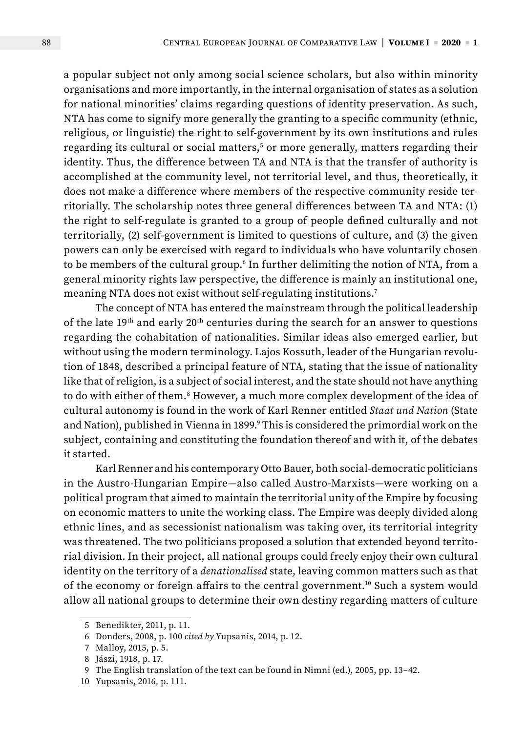a popular subject not only among social science scholars, but also within minority organisations and more importantly, in the internal organisation of states as a solution for national minorities' claims regarding questions of identity preservation. As such, NTA has come to signify more generally the granting to a specific community (ethnic, religious, or linguistic) the right to self-government by its own institutions and rules regarding its cultural or social matters, $^5$  or more generally, matters regarding their identity. Thus, the difference between TA and NTA is that the transfer of authority is accomplished at the community level, not territorial level, and thus, theoretically, it does not make a difference where members of the respective community reside territorially. The scholarship notes three general differences between TA and NTA: (1) the right to self-regulate is granted to a group of people defined culturally and not territorially, (2) self-government is limited to questions of culture, and (3) the given powers can only be exercised with regard to individuals who have voluntarily chosen to be members of the cultural group.<sup>6</sup> In further delimiting the notion of NTA, from a general minority rights law perspective, the difference is mainly an institutional one, meaning NTA does not exist without self-regulating institutions.7

The concept of NTA has entered the mainstream through the political leadership of the late 19<sup>th</sup> and early 20<sup>th</sup> centuries during the search for an answer to questions regarding the cohabitation of nationalities. Similar ideas also emerged earlier, but without using the modern terminology. Lajos Kossuth, leader of the Hungarian revolution of 1848, described a principal feature of NTA, stating that the issue of nationality like that of religion, is a subject of social interest, and the state should not have anything to do with either of them.<sup>8</sup> However, a much more complex development of the idea of cultural autonomy is found in the work of Karl Renner entitled *Staat und Nation* (State and Nation), published in Vienna in 1899.° This is considered the primordial work on the subject, containing and constituting the foundation thereof and with it, of the debates it started.

Karl Renner and his contemporary Otto Bauer, both social-democratic politicians in the Austro-Hungarian Empire—also called Austro-Marxists—were working on a political program that aimed to maintain the territorial unity of the Empire by focusing on economic matters to unite the working class. The Empire was deeply divided along ethnic lines, and as secessionist nationalism was taking over, its territorial integrity was threatened. The two politicians proposed a solution that extended beyond territorial division. In their project, all national groups could freely enjoy their own cultural identity on the territory of a *denationalised* state, leaving common matters such as that of the economy or foreign affairs to the central government.<sup>10</sup> Such a system would allow all national groups to determine their own destiny regarding matters of culture

<sup>5</sup> Benedikter, 2011, p. 11.

<sup>6</sup> Donders, 2008, p. 100 *cited by* Yupsanis, 2014, p. 12.

<sup>7</sup> Malloy, 2015, p. 5.

<sup>8</sup> Jászi, 1918, p. 17.

<sup>9</sup> The English translation of the text can be found in Nimni (ed.), 2005, pp. 13–42.

<sup>10</sup> Yupsanis, 2016*,* p. 111.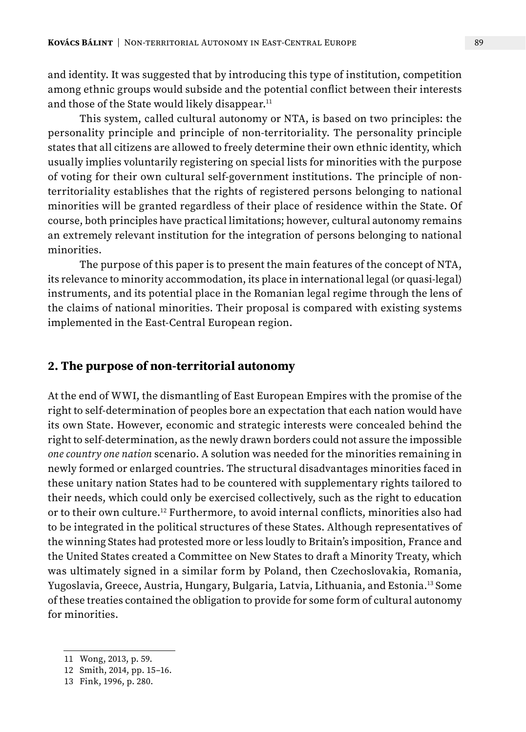and identity. It was suggested that by introducing this type of institution, competition among ethnic groups would subside and the potential conflict between their interests and those of the State would likely disappear.<sup>11</sup>

This system, called cultural autonomy or NTA, is based on two principles: the personality principle and principle of non-territoriality. The personality principle states that all citizens are allowed to freely determine their own ethnic identity, which usually implies voluntarily registering on special lists for minorities with the purpose of voting for their own cultural self-government institutions. The principle of nonterritoriality establishes that the rights of registered persons belonging to national minorities will be granted regardless of their place of residence within the State. Of course, both principles have practical limitations; however, cultural autonomy remains an extremely relevant institution for the integration of persons belonging to national minorities.

The purpose of this paper is to present the main features of the concept of NTA, its relevance to minority accommodation, its place in international legal (or quasi-legal) instruments, and its potential place in the Romanian legal regime through the lens of the claims of national minorities. Their proposal is compared with existing systems implemented in the East-Central European region.

## **2. The purpose of non-territorial autonomy**

At the end of WWI, the dismantling of East European Empires with the promise of the right to self-determination of peoples bore an expectation that each nation would have its own State. However, economic and strategic interests were concealed behind the right to self-determination, as the newly drawn borders could not assure the impossible *one country one nation* scenario. A solution was needed for the minorities remaining in newly formed or enlarged countries. The structural disadvantages minorities faced in these unitary nation States had to be countered with supplementary rights tailored to their needs, which could only be exercised collectively, such as the right to education or to their own culture.12 Furthermore, to avoid internal conflicts, minorities also had to be integrated in the political structures of these States. Although representatives of the winning States had protested more or less loudly to Britain's imposition, France and the United States created a Committee on New States to draft a Minority Treaty, which was ultimately signed in a similar form by Poland, then Czechoslovakia, Romania, Yugoslavia, Greece, Austria, Hungary, Bulgaria, Latvia, Lithuania, and Estonia.13 Some of these treaties contained the obligation to provide for some form of cultural autonomy for minorities.

<sup>11</sup> Wong, 2013, p. 59.

<sup>12</sup> Smith, 2014, pp. 15–16.

<sup>13</sup> Fink, 1996, p. 280.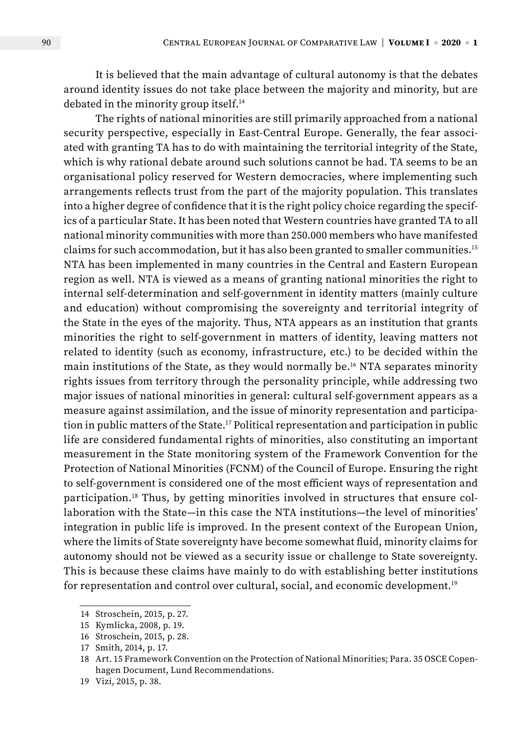It is believed that the main advantage of cultural autonomy is that the debates around identity issues do not take place between the majority and minority, but are debated in the minority group itself.14

The rights of national minorities are still primarily approached from a national security perspective, especially in East-Central Europe. Generally, the fear associated with granting TA has to do with maintaining the territorial integrity of the State, which is why rational debate around such solutions cannot be had. TA seems to be an organisational policy reserved for Western democracies, where implementing such arrangements reflects trust from the part of the majority population. This translates into a higher degree of confidence that it is the right policy choice regarding the specifics of a particular State. It has been noted that Western countries have granted TA to all national minority communities with more than 250.000 members who have manifested claims for such accommodation, but it has also been granted to smaller communities.15 NTA has been implemented in many countries in the Central and Eastern European region as well. NTA is viewed as a means of granting national minorities the right to internal self-determination and self-government in identity matters (mainly culture and education) without compromising the sovereignty and territorial integrity of the State in the eyes of the majority. Thus, NTA appears as an institution that grants minorities the right to self-government in matters of identity, leaving matters not related to identity (such as economy, infrastructure, etc.) to be decided within the main institutions of the State, as they would normally be.16 NTA separates minority rights issues from territory through the personality principle, while addressing two major issues of national minorities in general: cultural self-government appears as a measure against assimilation, and the issue of minority representation and participation in public matters of the State.17 Political representation and participation in public life are considered fundamental rights of minorities, also constituting an important measurement in the State monitoring system of the Framework Convention for the Protection of National Minorities (FCNM) of the Council of Europe. Ensuring the right to self-government is considered one of the most efficient ways of representation and participation.18 Thus, by getting minorities involved in structures that ensure collaboration with the State—in this case the NTA institutions—the level of minorities' integration in public life is improved. In the present context of the European Union, where the limits of State sovereignty have become somewhat fluid, minority claims for autonomy should not be viewed as a security issue or challenge to State sovereignty. This is because these claims have mainly to do with establishing better institutions for representation and control over cultural, social, and economic development.19

<sup>14</sup> Stroschein, 2015, p. 27.

<sup>15</sup> Kymlicka, 2008, p. 19.

<sup>16</sup> Stroschein, 2015, p. 28.

<sup>17</sup> Smith, 2014, p. 17.

<sup>18</sup> Art. 15 Framework Convention on the Protection of National Minorities; Para. 35 OSCE Copenhagen Document, Lund Recommendations.

<sup>19</sup> Vizi, 2015, p. 38.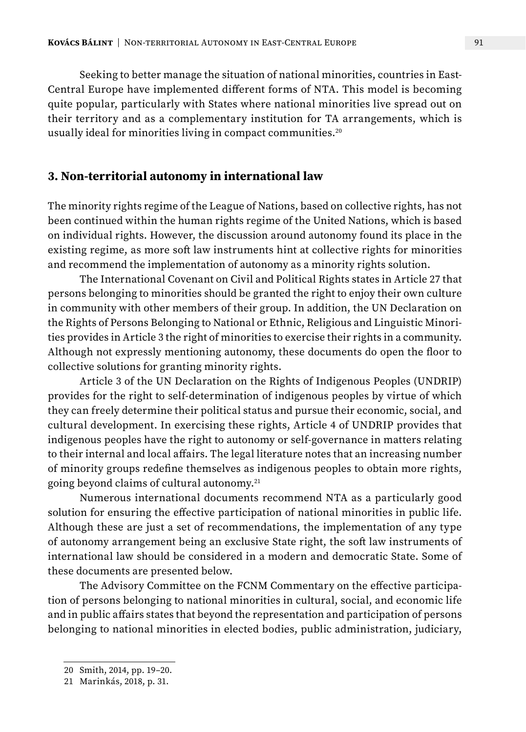Seeking to better manage the situation of national minorities, countries in East-Central Europe have implemented different forms of NTA. This model is becoming quite popular, particularly with States where national minorities live spread out on their territory and as a complementary institution for TA arrangements, which is usually ideal for minorities living in compact communities.<sup>20</sup>

### **3. Non-territorial autonomy in international law**

The minority rights regime of the League of Nations, based on collective rights, has not been continued within the human rights regime of the United Nations, which is based on individual rights. However, the discussion around autonomy found its place in the existing regime, as more soft law instruments hint at collective rights for minorities and recommend the implementation of autonomy as a minority rights solution.

The International Covenant on Civil and Political Rights states in Article 27 that persons belonging to minorities should be granted the right to enjoy their own culture in community with other members of their group. In addition, the UN Declaration on the Rights of Persons Belonging to National or Ethnic, Religious and Linguistic Minorities provides in Article 3 the right of minorities to exercise their rights in a community. Although not expressly mentioning autonomy, these documents do open the floor to collective solutions for granting minority rights.

Article 3 of the UN Declaration on the Rights of Indigenous Peoples (UNDRIP) provides for the right to self-determination of indigenous peoples by virtue of which they can freely determine their political status and pursue their economic, social, and cultural development. In exercising these rights, Article 4 of UNDRIP provides that indigenous peoples have the right to autonomy or self-governance in matters relating to their internal and local affairs. The legal literature notes that an increasing number of minority groups redefine themselves as indigenous peoples to obtain more rights, going beyond claims of cultural autonomy.21

Numerous international documents recommend NTA as a particularly good solution for ensuring the effective participation of national minorities in public life. Although these are just a set of recommendations, the implementation of any type of autonomy arrangement being an exclusive State right, the soft law instruments of international law should be considered in a modern and democratic State. Some of these documents are presented below.

The Advisory Committee on the FCNM Commentary on the effective participation of persons belonging to national minorities in cultural, social, and economic life and in public affairs states that beyond the representation and participation of persons belonging to national minorities in elected bodies, public administration, judiciary,

<sup>20</sup> Smith, 2014, pp. 19–20.

<sup>21</sup> Marinkás, 2018, p. 31.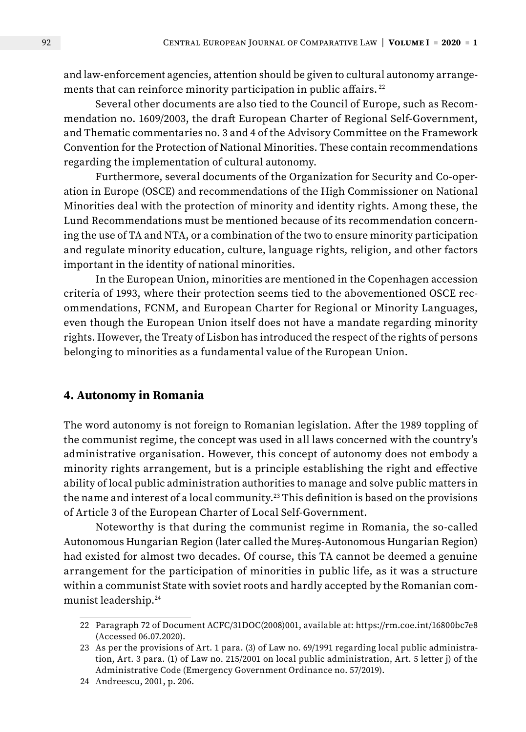and law-enforcement agencies, attention should be given to cultural autonomy arrangements that can reinforce minority participation in public affairs.<sup>22</sup>

Several other documents are also tied to the Council of Europe, such as Recommendation no. 1609/2003, the draft European Charter of Regional Self-Government, and Thematic commentaries no. 3 and 4 of the Advisory Committee on the Framework Convention for the Protection of National Minorities. These contain recommendations regarding the implementation of cultural autonomy.

Furthermore, several documents of the Organization for Security and Co-operation in Europe (OSCE) and recommendations of the High Commissioner on National Minorities deal with the protection of minority and identity rights. Among these, the Lund Recommendations must be mentioned because of its recommendation concerning the use of TA and NTA, or a combination of the two to ensure minority participation and regulate minority education, culture, language rights, religion, and other factors important in the identity of national minorities.

In the European Union, minorities are mentioned in the Copenhagen accession criteria of 1993, where their protection seems tied to the abovementioned OSCE recommendations, FCNM, and European Charter for Regional or Minority Languages, even though the European Union itself does not have a mandate regarding minority rights. However, the Treaty of Lisbon has introduced the respect of the rights of persons belonging to minorities as a fundamental value of the European Union.

### **4. Autonomy in Romania**

The word autonomy is not foreign to Romanian legislation. After the 1989 toppling of the communist regime, the concept was used in all laws concerned with the country's administrative organisation. However, this concept of autonomy does not embody a minority rights arrangement, but is a principle establishing the right and effective ability of local public administration authorities to manage and solve public matters in the name and interest of a local community.23 This definition is based on the provisions of Article 3 of the European Charter of Local Self-Government.

Noteworthy is that during the communist regime in Romania, the so-called Autonomous Hungarian Region (later called the Mureș-Autonomous Hungarian Region) had existed for almost two decades. Of course, this TA cannot be deemed a genuine arrangement for the participation of minorities in public life, as it was a structure within a communist State with soviet roots and hardly accepted by the Romanian communist leadership.24

<sup>22</sup> Paragraph 72 of Document ACFC/31DOC(2008)001, available at: <https://rm.coe.int/16800bc7e8> (Accessed 06.07.2020).

<sup>23</sup> As per the provisions of Art. 1 para. (3) of Law no. 69/1991 regarding local public administration, Art. 3 para. (1) of Law no. 215/2001 on local public administration, Art. 5 letter j) of the Administrative Code (Emergency Government Ordinance no. 57/2019).

<sup>24</sup> Andreescu, 2001, p. 206.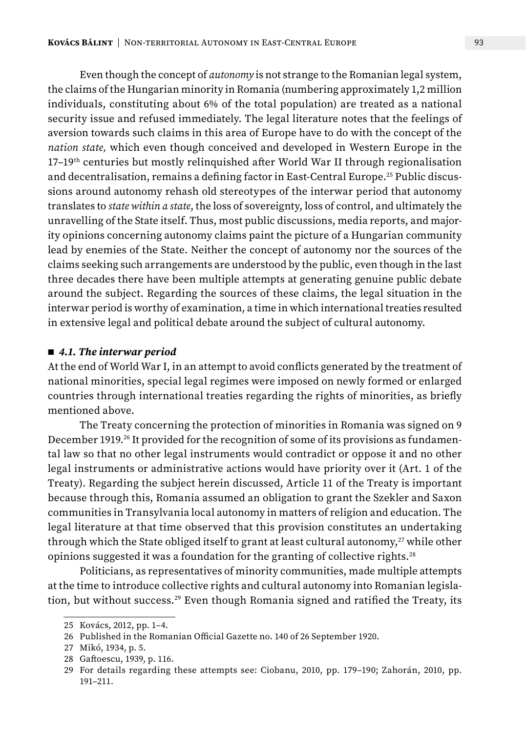Even though the concept of *autonomy* is not strange to the Romanian legal system, the claims of the Hungarian minority in Romania (numbering approximately 1,2 million individuals, constituting about 6% of the total population) are treated as a national security issue and refused immediately. The legal literature notes that the feelings of aversion towards such claims in this area of Europe have to do with the concept of the *nation state,* which even though conceived and developed in Western Europe in the 17–19th centuries but mostly relinquished after World War II through regionalisation and decentralisation, remains a defining factor in East-Central Europe.25 Public discussions around autonomy rehash old stereotypes of the interwar period that autonomy translates to *state within a state*, the loss of sovereignty, loss of control, and ultimately the unravelling of the State itself. Thus, most public discussions, media reports, and majority opinions concerning autonomy claims paint the picture of a Hungarian community lead by enemies of the State. Neither the concept of autonomy nor the sources of the claims seeking such arrangements are understood by the public, even though in the last three decades there have been multiple attempts at generating genuine public debate around the subject. Regarding the sources of these claims, the legal situation in the interwar period is worthy of examination, a time in which international treaties resulted in extensive legal and political debate around the subject of cultural autonomy.

#### ■ 4.1. The interwar period

At the end of World War I, in an attempt to avoid conflicts generated by the treatment of national minorities, special legal regimes were imposed on newly formed or enlarged countries through international treaties regarding the rights of minorities, as briefly mentioned above.

The Treaty concerning the protection of minorities in Romania was signed on 9 December 1919.<sup>26</sup> It provided for the recognition of some of its provisions as fundamental law so that no other legal instruments would contradict or oppose it and no other legal instruments or administrative actions would have priority over it (Art. 1 of the Treaty). Regarding the subject herein discussed, Article 11 of the Treaty is important because through this, Romania assumed an obligation to grant the Szekler and Saxon communities in Transylvania local autonomy in matters of religion and education. The legal literature at that time observed that this provision constitutes an undertaking through which the State obliged itself to grant at least cultural autonomy, $27$  while other opinions suggested it was a foundation for the granting of collective rights.<sup>28</sup>

Politicians, as representatives of minority communities, made multiple attempts at the time to introduce collective rights and cultural autonomy into Romanian legislation, but without success.<sup>29</sup> Even though Romania signed and ratified the Treaty, its

<sup>25</sup> Kovács, 2012, pp. 1–4.

<sup>26</sup> Published in the Romanian Official Gazette no. 140 of 26 September 1920.

<sup>27</sup> Mikó, 1934, p. 5.

<sup>28</sup> Gaftoescu, 1939, p. 116.

<sup>29</sup> For details regarding these attempts see: Ciobanu, 2010, pp. 179–190; Zahorán, 2010, pp. 191–211.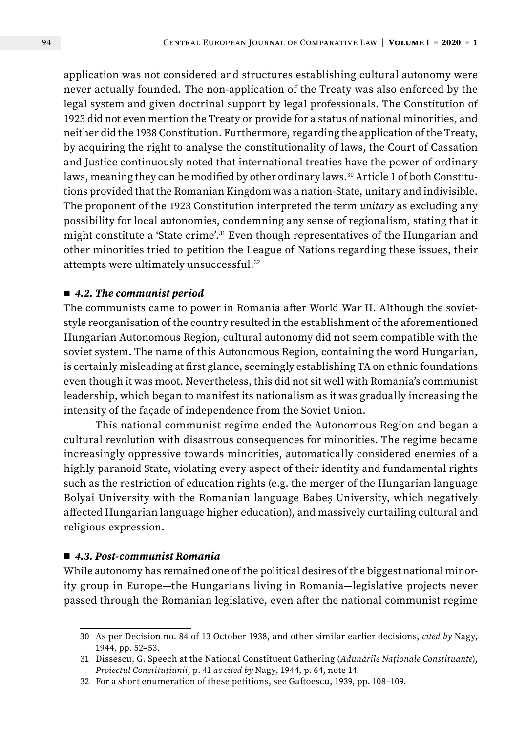application was not considered and structures establishing cultural autonomy were never actually founded. The non-application of the Treaty was also enforced by the legal system and given doctrinal support by legal professionals. The Constitution of 1923 did not even mention the Treaty or provide for a status of national minorities, and neither did the 1938 Constitution. Furthermore, regarding the application of the Treaty, by acquiring the right to analyse the constitutionality of laws, the Court of Cassation and Justice continuously noted that international treaties have the power of ordinary laws, meaning they can be modified by other ordinary laws.<sup>30</sup> Article 1 of both Constitutions provided that the Romanian Kingdom was a nation-State, unitary and indivisible. The proponent of the 1923 Constitution interpreted the term *unitary* as excluding any possibility for local autonomies, condemning any sense of regionalism, stating that it might constitute a 'State crime'.31 Even though representatives of the Hungarian and other minorities tried to petition the League of Nations regarding these issues, their attempts were ultimately unsuccessful.32

#### ■ 4.2. The communist period

The communists came to power in Romania after World War II. Although the sovietstyle reorganisation of the country resulted in the establishment of the aforementioned Hungarian Autonomous Region, cultural autonomy did not seem compatible with the soviet system. The name of this Autonomous Region, containing the word Hungarian, is certainly misleading at first glance, seemingly establishing TA on ethnic foundations even though it was moot. Nevertheless, this did not sit well with Romania's communist leadership, which began to manifest its nationalism as it was gradually increasing the intensity of the façade of independence from the Soviet Union.

This national communist regime ended the Autonomous Region and began a cultural revolution with disastrous consequences for minorities. The regime became increasingly oppressive towards minorities, automatically considered enemies of a highly paranoid State, violating every aspect of their identity and fundamental rights such as the restriction of education rights (e.g. the merger of the Hungarian language Bolyai University with the Romanian language Babeș University, which negatively affected Hungarian language higher education), and massively curtailing cultural and religious expression.

#### ■ *4.3. Post-communist Romania*

While autonomy has remained one of the political desires of the biggest national minority group in Europe—the Hungarians living in Romania—legislative projects never passed through the Romanian legislative, even after the national communist regime

<sup>30</sup> As per Decision no. 84 of 13 October 1938, and other similar earlier decisions, *cited by* Nagy, 1944, pp. 52–53.

<sup>31</sup> Dissescu, G. Speech at the National Constituent Gathering (*Adunările Naționale Constituante*), *Proiectul Constituțiunii*, p. 41 *as cited by* Nagy, 1944, p. 64, note 14.

<sup>32</sup> For a short enumeration of these petitions, see Gaftoescu, 1939, pp. 108–109.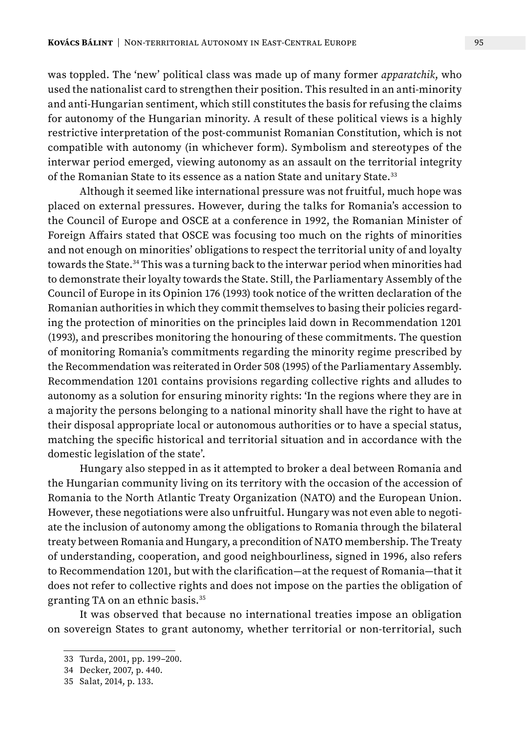was toppled. The 'new' political class was made up of many former *apparatchik*, who used the nationalist card to strengthen their position. This resulted in an anti-minority and anti-Hungarian sentiment, which still constitutes the basis for refusing the claims for autonomy of the Hungarian minority. A result of these political views is a highly restrictive interpretation of the post-communist Romanian Constitution, which is not compatible with autonomy (in whichever form). Symbolism and stereotypes of the interwar period emerged, viewing autonomy as an assault on the territorial integrity of the Romanian State to its essence as a nation State and unitary State.<sup>33</sup>

Although it seemed like international pressure was not fruitful, much hope was placed on external pressures. However, during the talks for Romania's accession to the Council of Europe and OSCE at a conference in 1992, the Romanian Minister of Foreign Affairs stated that OSCE was focusing too much on the rights of minorities and not enough on minorities' obligations to respect the territorial unity of and loyalty towards the State.34 This was a turning back to the interwar period when minorities had to demonstrate their loyalty towards the State. Still, the Parliamentary Assembly of the Council of Europe in its Opinion 176 (1993) took notice of the written declaration of the Romanian authorities in which they commit themselves to basing their policies regarding the protection of minorities on the principles laid down in Recommendation 1201 (1993), and prescribes monitoring the honouring of these commitments. The question of monitoring Romania's commitments regarding the minority regime prescribed by the Recommendation was reiterated in Order 508 (1995) of the Parliamentary Assembly. Recommendation 1201 contains provisions regarding collective rights and alludes to autonomy as a solution for ensuring minority rights: 'In the regions where they are in a majority the persons belonging to a national minority shall have the right to have at their disposal appropriate local or autonomous authorities or to have a special status, matching the specific historical and territorial situation and in accordance with the domestic legislation of the state'.

Hungary also stepped in as it attempted to broker a deal between Romania and the Hungarian community living on its territory with the occasion of the accession of Romania to the North Atlantic Treaty Organization (NATO) and the European Union. However, these negotiations were also unfruitful. Hungary was not even able to negotiate the inclusion of autonomy among the obligations to Romania through the bilateral treaty between Romania and Hungary, a precondition of NATO membership. The Treaty of understanding, cooperation, and good neighbourliness, signed in 1996, also refers to Recommendation 1201, but with the clarification—at the request of Romania—that it does not refer to collective rights and does not impose on the parties the obligation of granting TA on an ethnic basis.35

It was observed that because no international treaties impose an obligation on sovereign States to grant autonomy, whether territorial or non-territorial, such

<sup>33</sup> Turda, 2001, pp. 199–200.

<sup>34</sup> Decker, 2007, p. 440.

<sup>35</sup> Salat, 2014, p. 133.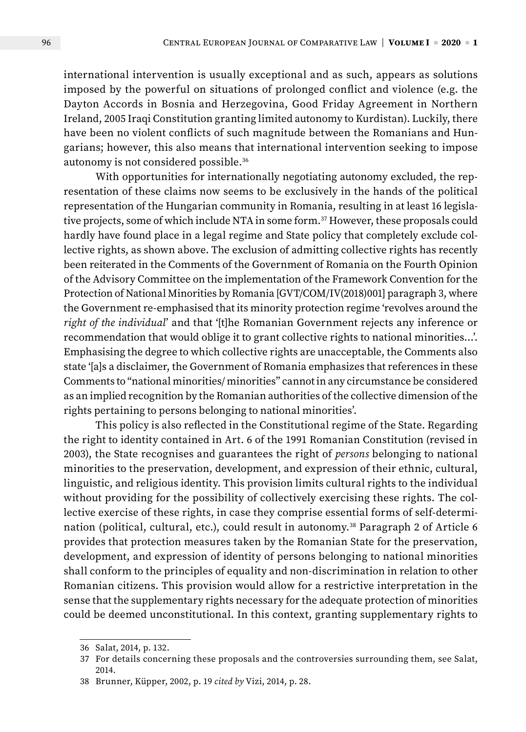international intervention is usually exceptional and as such, appears as solutions imposed by the powerful on situations of prolonged conflict and violence (e.g. the Dayton Accords in Bosnia and Herzegovina, Good Friday Agreement in Northern Ireland, 2005 Iraqi Constitution granting limited autonomy to Kurdistan). Luckily, there have been no violent conflicts of such magnitude between the Romanians and Hungarians; however, this also means that international intervention seeking to impose autonomy is not considered possible.36

With opportunities for internationally negotiating autonomy excluded, the representation of these claims now seems to be exclusively in the hands of the political representation of the Hungarian community in Romania, resulting in at least 16 legislative projects, some of which include NTA in some form.<sup>37</sup> However, these proposals could hardly have found place in a legal regime and State policy that completely exclude collective rights, as shown above. The exclusion of admitting collective rights has recently been reiterated in the Comments of the Government of Romania on the Fourth Opinion of the Advisory Committee on the implementation of the Framework Convention for the Protection of National Minorities by Romania [GVT/COM/IV(2018)001] paragraph 3, where the Government re-emphasised that its minority protection regime 'revolves around the *right of the individual*' and that '[t]he Romanian Government rejects any inference or recommendation that would oblige it to grant collective rights to national minorities…'. Emphasising the degree to which collective rights are unacceptable, the Comments also state '[a]s a disclaimer, the Government of Romania emphasizes that references in these Comments to "national minorities/ minorities" cannot in any circumstance be considered as an implied recognition by the Romanian authorities of the collective dimension of the rights pertaining to persons belonging to national minorities'.

This policy is also reflected in the Constitutional regime of the State. Regarding the right to identity contained in Art. 6 of the 1991 Romanian Constitution (revised in 2003), the State recognises and guarantees the right of *persons* belonging to national minorities to the preservation, development, and expression of their ethnic, cultural, linguistic, and religious identity. This provision limits cultural rights to the individual without providing for the possibility of collectively exercising these rights. The collective exercise of these rights, in case they comprise essential forms of self-determination (political, cultural, etc.), could result in autonomy.<sup>38</sup> Paragraph 2 of Article 6 provides that protection measures taken by the Romanian State for the preservation, development, and expression of identity of persons belonging to national minorities shall conform to the principles of equality and non-discrimination in relation to other Romanian citizens. This provision would allow for a restrictive interpretation in the sense that the supplementary rights necessary for the adequate protection of minorities could be deemed unconstitutional. In this context, granting supplementary rights to

<sup>36</sup> Salat, 2014, p. 132.

<sup>37</sup> For details concerning these proposals and the controversies surrounding them, see Salat, 2014.

<sup>38</sup> Brunner, Küpper, 2002, p. 19 *cited by* Vizi, 2014, p. 28.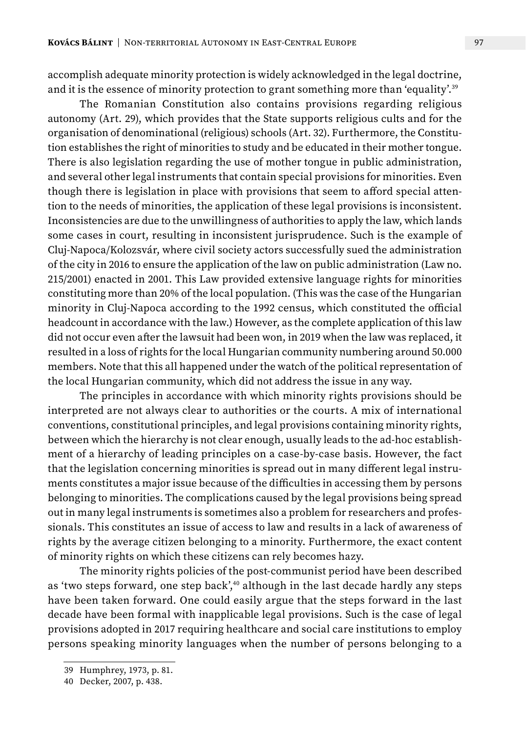accomplish adequate minority protection is widely acknowledged in the legal doctrine, and it is the essence of minority protection to grant something more than 'equality'.<sup>39</sup>

The Romanian Constitution also contains provisions regarding religious autonomy (Art. 29), which provides that the State supports religious cults and for the organisation of denominational (religious) schools (Art. 32). Furthermore, the Constitution establishes the right of minorities to study and be educated in their mother tongue. There is also legislation regarding the use of mother tongue in public administration, and several other legal instruments that contain special provisions for minorities. Even though there is legislation in place with provisions that seem to afford special attention to the needs of minorities, the application of these legal provisions is inconsistent. Inconsistencies are due to the unwillingness of authorities to apply the law, which lands some cases in court, resulting in inconsistent jurisprudence. Such is the example of Cluj-Napoca/Kolozsvár, where civil society actors successfully sued the administration of the city in 2016 to ensure the application of the law on public administration (Law no. 215/2001) enacted in 2001. This Law provided extensive language rights for minorities constituting more than 20% of the local population. (This was the case of the Hungarian minority in Cluj-Napoca according to the 1992 census, which constituted the official headcount in accordance with the law.) However, as the complete application of this law did not occur even after the lawsuit had been won, in 2019 when the law was replaced, it resulted in a loss of rights for the local Hungarian community numbering around 50.000 members. Note that this all happened under the watch of the political representation of the local Hungarian community, which did not address the issue in any way.

The principles in accordance with which minority rights provisions should be interpreted are not always clear to authorities or the courts. A mix of international conventions, constitutional principles, and legal provisions containing minority rights, between which the hierarchy is not clear enough, usually leads to the ad-hoc establishment of a hierarchy of leading principles on a case-by-case basis. However, the fact that the legislation concerning minorities is spread out in many different legal instruments constitutes a major issue because of the difficulties in accessing them by persons belonging to minorities. The complications caused by the legal provisions being spread out in many legal instruments is sometimes also a problem for researchers and professionals. This constitutes an issue of access to law and results in a lack of awareness of rights by the average citizen belonging to a minority. Furthermore, the exact content of minority rights on which these citizens can rely becomes hazy.

The minority rights policies of the post-communist period have been described as 'two steps forward, one step back',<sup>40</sup> although in the last decade hardly any steps have been taken forward. One could easily argue that the steps forward in the last decade have been formal with inapplicable legal provisions. Such is the case of legal provisions adopted in 2017 requiring healthcare and social care institutions to employ persons speaking minority languages when the number of persons belonging to a

<sup>39</sup> Humphrey, 1973, p. 81.

<sup>40</sup> Decker, 2007, p. 438.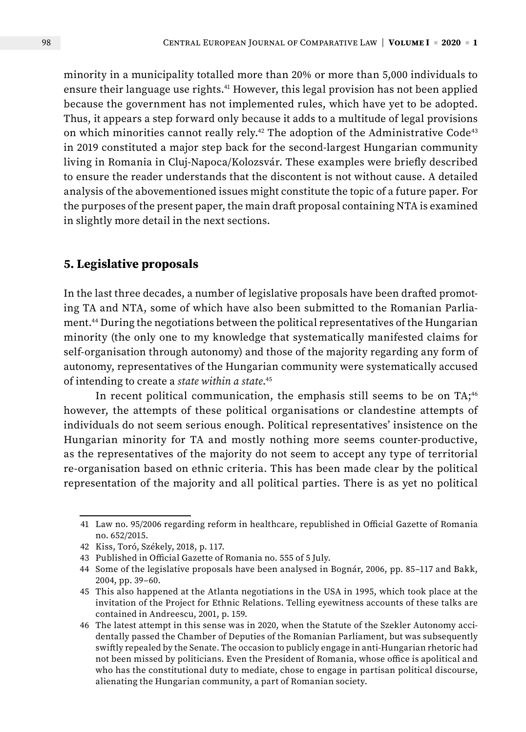minority in a municipality totalled more than 20% or more than 5,000 individuals to ensure their language use rights.<sup>41</sup> However, this legal provision has not been applied because the government has not implemented rules, which have yet to be adopted. Thus, it appears a step forward only because it adds to a multitude of legal provisions on which minorities cannot really rely.<sup>42</sup> The adoption of the Administrative Code<sup>43</sup> in 2019 constituted a major step back for the second-largest Hungarian community living in Romania in Cluj-Napoca/Kolozsvár. These examples were briefly described to ensure the reader understands that the discontent is not without cause. A detailed analysis of the abovementioned issues might constitute the topic of a future paper. For the purposes of the present paper, the main draft proposal containing NTA is examined in slightly more detail in the next sections.

## **5. Legislative proposals**

In the last three decades, a number of legislative proposals have been drafted promoting TA and NTA, some of which have also been submitted to the Romanian Parliament.44 During the negotiations between the political representatives of the Hungarian minority (the only one to my knowledge that systematically manifested claims for self-organisation through autonomy) and those of the majority regarding any form of autonomy, representatives of the Hungarian community were systematically accused of intending to create a *state within a state*. 45

In recent political communication, the emphasis still seems to be on TA;<sup>46</sup> however, the attempts of these political organisations or clandestine attempts of individuals do not seem serious enough. Political representatives' insistence on the Hungarian minority for TA and mostly nothing more seems counter-productive, as the representatives of the majority do not seem to accept any type of territorial re-organisation based on ethnic criteria. This has been made clear by the political representation of the majority and all political parties. There is as yet no political

<sup>41</sup> Law no. 95/2006 regarding reform in healthcare, republished in Official Gazette of Romania no. 652/2015.

<sup>42</sup> Kiss, Toró, Székely, 2018, p. 117.

<sup>43</sup> Published in Official Gazette of Romania no. 555 of 5 July.

<sup>44</sup> Some of the legislative proposals have been analysed in Bognár, 2006, pp. 85–117 and Bakk, 2004, pp. 39–60.

<sup>45</sup> This also happened at the Atlanta negotiations in the USA in 1995, which took place at the invitation of the Project for Ethnic Relations. Telling eyewitness accounts of these talks are contained in Andreescu, 2001, p. 159.

<sup>46</sup> The latest attempt in this sense was in 2020, when the Statute of the Szekler Autonomy accidentally passed the Chamber of Deputies of the Romanian Parliament, but was subsequently swiftly repealed by the Senate. The occasion to publicly engage in anti-Hungarian rhetoric had not been missed by politicians. Even the President of Romania, whose office is apolitical and who has the constitutional duty to mediate, chose to engage in partisan political discourse, alienating the Hungarian community, a part of Romanian society.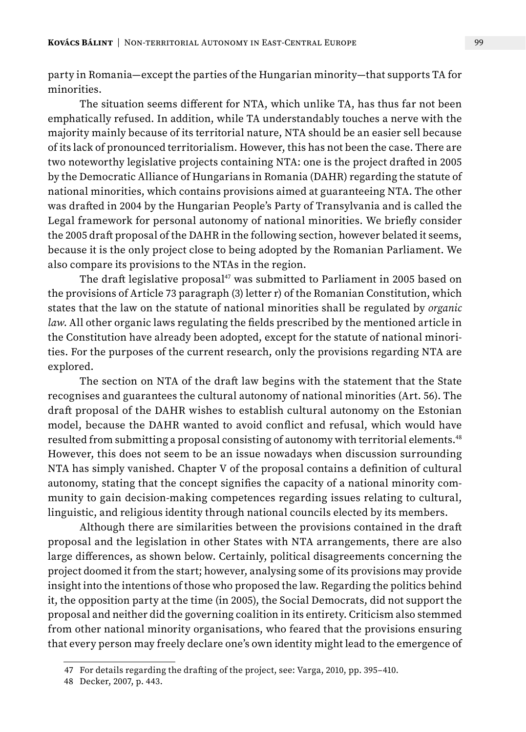party in Romania—except the parties of the Hungarian minority—that supports TA for minorities.

The situation seems different for NTA, which unlike TA, has thus far not been emphatically refused. In addition, while TA understandably touches a nerve with the majority mainly because of its territorial nature, NTA should be an easier sell because of its lack of pronounced territorialism. However, this has not been the case. There are two noteworthy legislative projects containing NTA: one is the project drafted in 2005 by the Democratic Alliance of Hungarians in Romania (DAHR) regarding the statute of national minorities, which contains provisions aimed at guaranteeing NTA. The other was drafted in 2004 by the Hungarian People's Party of Transylvania and is called the Legal framework for personal autonomy of national minorities. We briefly consider the 2005 draft proposal of the DAHR in the following section, however belated it seems, because it is the only project close to being adopted by the Romanian Parliament. We also compare its provisions to the NTAs in the region.

The draft legislative proposal<sup>47</sup> was submitted to Parliament in 2005 based on the provisions of Article 73 paragraph (3) letter r) of the Romanian Constitution, which states that the law on the statute of national minorities shall be regulated by *organic law*. All other organic laws regulating the fields prescribed by the mentioned article in the Constitution have already been adopted, except for the statute of national minorities. For the purposes of the current research, only the provisions regarding NTA are explored.

The section on NTA of the draft law begins with the statement that the State recognises and guarantees the cultural autonomy of national minorities (Art. 56). The draft proposal of the DAHR wishes to establish cultural autonomy on the Estonian model, because the DAHR wanted to avoid conflict and refusal, which would have resulted from submitting a proposal consisting of autonomy with territorial elements.<sup>48</sup> However, this does not seem to be an issue nowadays when discussion surrounding NTA has simply vanished. Chapter V of the proposal contains a definition of cultural autonomy, stating that the concept signifies the capacity of a national minority community to gain decision-making competences regarding issues relating to cultural, linguistic, and religious identity through national councils elected by its members.

Although there are similarities between the provisions contained in the draft proposal and the legislation in other States with NTA arrangements, there are also large differences, as shown below. Certainly, political disagreements concerning the project doomed it from the start; however, analysing some of its provisions may provide insight into the intentions of those who proposed the law. Regarding the politics behind it, the opposition party at the time (in 2005), the Social Democrats, did not support the proposal and neither did the governing coalition in its entirety. Criticism also stemmed from other national minority organisations, who feared that the provisions ensuring that every person may freely declare one's own identity might lead to the emergence of

<sup>47</sup> For details regarding the drafting of the project, see: Varga, 2010, pp. 395–410.

<sup>48</sup> Decker, 2007, p. 443.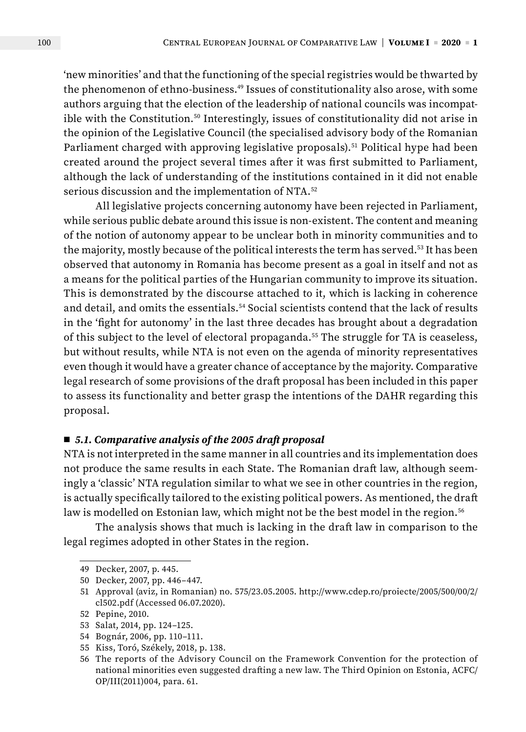'new minorities' and that the functioning of the special registries would be thwarted by the phenomenon of ethno-business.49 Issues of constitutionality also arose, with some authors arguing that the election of the leadership of national councils was incompatible with the Constitution.<sup>50</sup> Interestingly, issues of constitutionality did not arise in the opinion of the Legislative Council (the specialised advisory body of the Romanian Parliament charged with approving legislative proposals).<sup>51</sup> Political hype had been created around the project several times after it was first submitted to Parliament, although the lack of understanding of the institutions contained in it did not enable serious discussion and the implementation of NTA.52

All legislative projects concerning autonomy have been rejected in Parliament, while serious public debate around this issue is non-existent. The content and meaning of the notion of autonomy appear to be unclear both in minority communities and to the majority, mostly because of the political interests the term has served.<sup>53</sup> It has been observed that autonomy in Romania has become present as a goal in itself and not as a means for the political parties of the Hungarian community to improve its situation. This is demonstrated by the discourse attached to it, which is lacking in coherence and detail, and omits the essentials.<sup>54</sup> Social scientists contend that the lack of results in the 'fight for autonomy' in the last three decades has brought about a degradation of this subject to the level of electoral propaganda.55 The struggle for TA is ceaseless, but without results, while NTA is not even on the agenda of minority representatives even though it would have a greater chance of acceptance by the majority. Comparative legal research of some provisions of the draft proposal has been included in this paper to assess its functionality and better grasp the intentions of the DAHR regarding this proposal.

#### ■ 5.1. Comparative analysis of the 2005 draft proposal

NTA is not interpreted in the same manner in all countries and its implementation does not produce the same results in each State. The Romanian draft law, although seemingly a 'classic' NTA regulation similar to what we see in other countries in the region, is actually specifically tailored to the existing political powers. As mentioned, the draft law is modelled on Estonian law, which might not be the best model in the region.<sup>56</sup>

The analysis shows that much is lacking in the draft law in comparison to the legal regimes adopted in other States in the region.

<sup>49</sup> Decker, 2007, p. 445.

<sup>50</sup> Decker, 2007, pp. 446–447.

<sup>51</sup> Approval (aviz, in Romanian) no. 575/23.05.2005. [http://www.cdep.ro/proiecte/2005/500/00/2/](http://www.cdep.ro/proiecte/2005/500/00/2/cl502.pdf) [cl502.pdf](http://www.cdep.ro/proiecte/2005/500/00/2/cl502.pdf) (Accessed 06.07.2020).

<sup>52</sup> Pepine, 2010.

<sup>53</sup> Salat, 2014, pp. 124–125.

<sup>54</sup> Bognár, 2006, pp. 110–111.

<sup>55</sup> Kiss, Toró, Székely, 2018, p. 138.

<sup>56</sup> The reports of the Advisory Council on the Framework Convention for the protection of national minorities even suggested drafting a new law. The Third Opinion on Estonia, ACFC/ OP/III(2011)004, para. 61.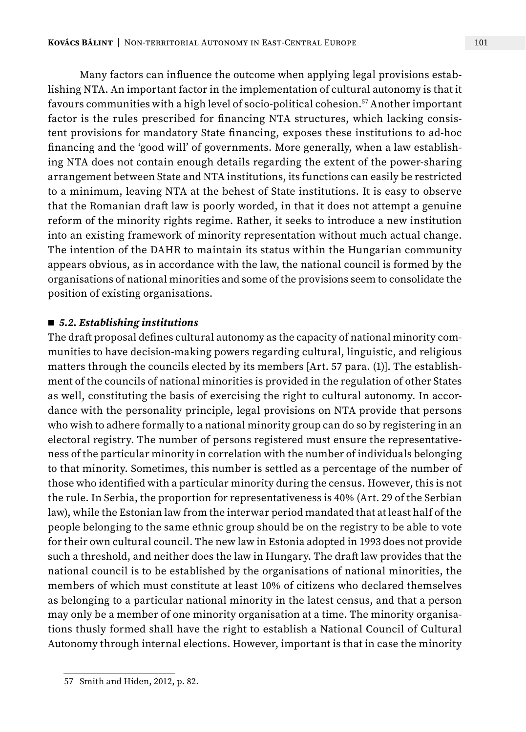Many factors can influence the outcome when applying legal provisions establishing NTA. An important factor in the implementation of cultural autonomy is that it favours communities with a high level of socio-political cohesion.57 Another important factor is the rules prescribed for financing NTA structures, which lacking consistent provisions for mandatory State financing, exposes these institutions to ad-hoc financing and the 'good will' of governments. More generally, when a law establishing NTA does not contain enough details regarding the extent of the power-sharing arrangement between State and NTA institutions, its functions can easily be restricted to a minimum, leaving NTA at the behest of State institutions. It is easy to observe that the Romanian draft law is poorly worded, in that it does not attempt a genuine

reform of the minority rights regime. Rather, it seeks to introduce a new institution into an existing framework of minority representation without much actual change. The intention of the DAHR to maintain its status within the Hungarian community appears obvious, as in accordance with the law, the national council is formed by the organisations of national minorities and some of the provisions seem to consolidate the position of existing organisations.

#### ■ *5.2. Establishing institutions*

The draft proposal defines cultural autonomy as the capacity of national minority communities to have decision-making powers regarding cultural, linguistic, and religious matters through the councils elected by its members [Art. 57 para. (1)]. The establishment of the councils of national minorities is provided in the regulation of other States as well, constituting the basis of exercising the right to cultural autonomy. In accordance with the personality principle, legal provisions on NTA provide that persons who wish to adhere formally to a national minority group can do so by registering in an electoral registry. The number of persons registered must ensure the representativeness of the particular minority in correlation with the number of individuals belonging to that minority. Sometimes, this number is settled as a percentage of the number of those who identified with a particular minority during the census. However, this is not the rule. In Serbia, the proportion for representativeness is 40% (Art. 29 of the Serbian law), while the Estonian law from the interwar period mandated that at least half of the people belonging to the same ethnic group should be on the registry to be able to vote for their own cultural council. The new law in Estonia adopted in 1993 does not provide such a threshold, and neither does the law in Hungary. The draft law provides that the national council is to be established by the organisations of national minorities, the members of which must constitute at least 10% of citizens who declared themselves as belonging to a particular national minority in the latest census, and that a person may only be a member of one minority organisation at a time. The minority organisations thusly formed shall have the right to establish a National Council of Cultural Autonomy through internal elections. However, important is that in case the minority

<sup>57</sup> Smith and Hiden, 2012, p. 82.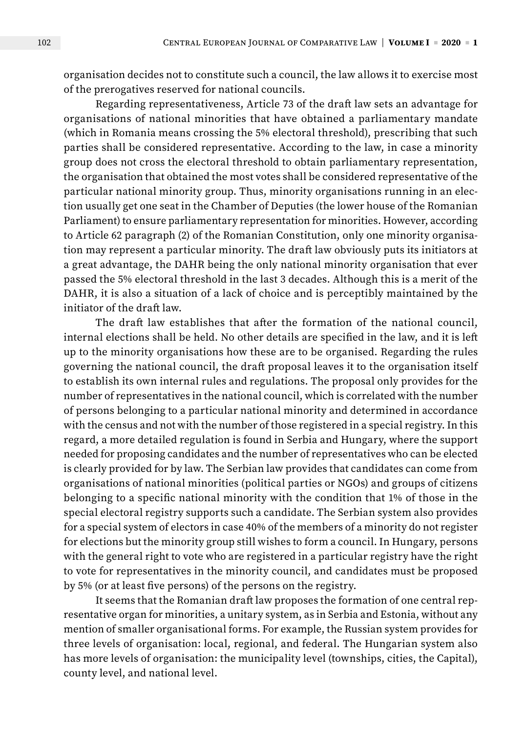organisation decides not to constitute such a council, the law allows it to exercise most of the prerogatives reserved for national councils.

Regarding representativeness, Article 73 of the draft law sets an advantage for organisations of national minorities that have obtained a parliamentary mandate (which in Romania means crossing the 5% electoral threshold), prescribing that such parties shall be considered representative. According to the law, in case a minority group does not cross the electoral threshold to obtain parliamentary representation, the organisation that obtained the most votes shall be considered representative of the particular national minority group. Thus, minority organisations running in an election usually get one seat in the Chamber of Deputies (the lower house of the Romanian Parliament) to ensure parliamentary representation for minorities. However, according to Article 62 paragraph (2) of the Romanian Constitution, only one minority organisation may represent a particular minority. The draft law obviously puts its initiators at a great advantage, the DAHR being the only national minority organisation that ever passed the 5% electoral threshold in the last 3 decades. Although this is a merit of the DAHR, it is also a situation of a lack of choice and is perceptibly maintained by the initiator of the draft law.

The draft law establishes that after the formation of the national council, internal elections shall be held. No other details are specified in the law, and it is left up to the minority organisations how these are to be organised. Regarding the rules governing the national council, the draft proposal leaves it to the organisation itself to establish its own internal rules and regulations. The proposal only provides for the number of representatives in the national council, which is correlated with the number of persons belonging to a particular national minority and determined in accordance with the census and not with the number of those registered in a special registry. In this regard, a more detailed regulation is found in Serbia and Hungary, where the support needed for proposing candidates and the number of representatives who can be elected is clearly provided for by law. The Serbian law provides that candidates can come from organisations of national minorities (political parties or NGOs) and groups of citizens belonging to a specific national minority with the condition that 1% of those in the special electoral registry supports such a candidate. The Serbian system also provides for a special system of electors in case 40% of the members of a minority do not register for elections but the minority group still wishes to form a council. In Hungary, persons with the general right to vote who are registered in a particular registry have the right to vote for representatives in the minority council, and candidates must be proposed by 5% (or at least five persons) of the persons on the registry.

It seems that the Romanian draft law proposes the formation of one central representative organ for minorities, a unitary system, as in Serbia and Estonia, without any mention of smaller organisational forms. For example, the Russian system provides for three levels of organisation: local, regional, and federal. The Hungarian system also has more levels of organisation: the municipality level (townships, cities, the Capital), county level, and national level.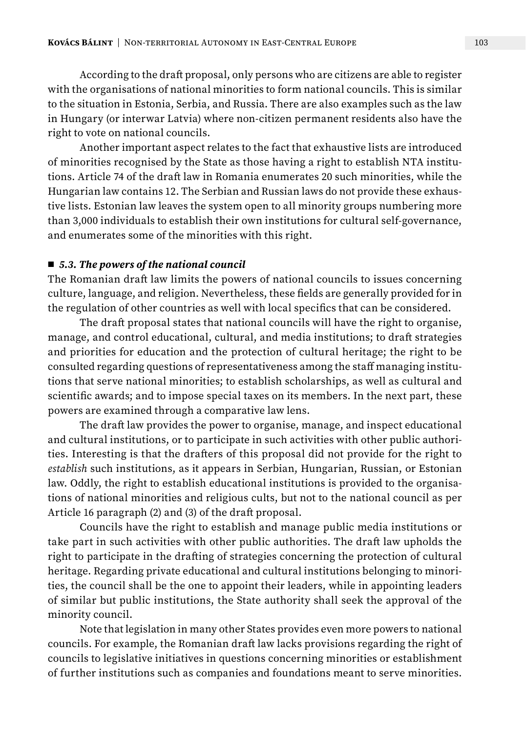According to the draft proposal, only persons who are citizens are able to register with the organisations of national minorities to form national councils. This is similar to the situation in Estonia, Serbia, and Russia. There are also examples such as the law in Hungary (or interwar Latvia) where non-citizen permanent residents also have the right to vote on national councils.

Another important aspect relates to the fact that exhaustive lists are introduced of minorities recognised by the State as those having a right to establish NTA institutions. Article 74 of the draft law in Romania enumerates 20 such minorities, while the Hungarian law contains 12. The Serbian and Russian laws do not provide these exhaustive lists. Estonian law leaves the system open to all minority groups numbering more than 3,000 individuals to establish their own institutions for cultural self-governance, and enumerates some of the minorities with this right.

#### ■ 5.3. The powers of the national council

The Romanian draft law limits the powers of national councils to issues concerning culture, language, and religion. Nevertheless, these fields are generally provided for in the regulation of other countries as well with local specifics that can be considered.

The draft proposal states that national councils will have the right to organise, manage, and control educational, cultural, and media institutions; to draft strategies and priorities for education and the protection of cultural heritage; the right to be consulted regarding questions of representativeness among the staff managing institutions that serve national minorities; to establish scholarships, as well as cultural and scientific awards; and to impose special taxes on its members. In the next part, these powers are examined through a comparative law lens.

The draft law provides the power to organise, manage, and inspect educational and cultural institutions, or to participate in such activities with other public authorities. Interesting is that the drafters of this proposal did not provide for the right to *establish* such institutions, as it appears in Serbian, Hungarian, Russian, or Estonian law. Oddly, the right to establish educational institutions is provided to the organisations of national minorities and religious cults, but not to the national council as per Article 16 paragraph (2) and (3) of the draft proposal.

Councils have the right to establish and manage public media institutions or take part in such activities with other public authorities. The draft law upholds the right to participate in the drafting of strategies concerning the protection of cultural heritage. Regarding private educational and cultural institutions belonging to minorities, the council shall be the one to appoint their leaders, while in appointing leaders of similar but public institutions, the State authority shall seek the approval of the minority council.

Note that legislation in many other States provides even more powers to national councils. For example, the Romanian draft law lacks provisions regarding the right of councils to legislative initiatives in questions concerning minorities or establishment of further institutions such as companies and foundations meant to serve minorities.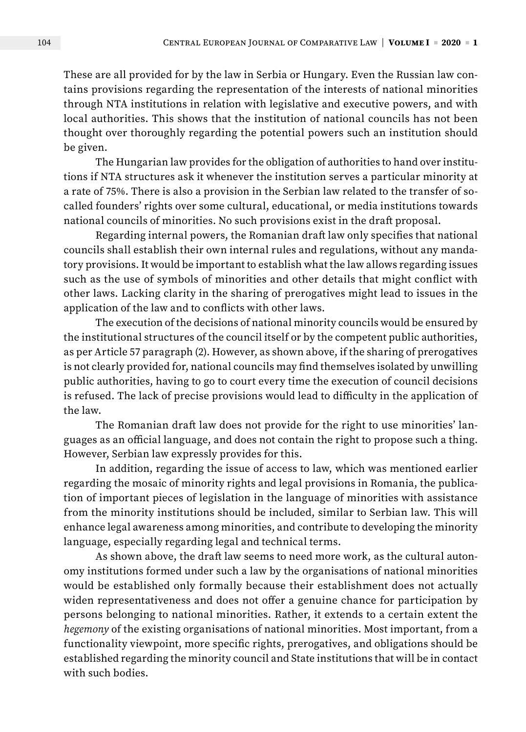These are all provided for by the law in Serbia or Hungary. Even the Russian law contains provisions regarding the representation of the interests of national minorities through NTA institutions in relation with legislative and executive powers, and with local authorities. This shows that the institution of national councils has not been thought over thoroughly regarding the potential powers such an institution should be given.

The Hungarian law provides for the obligation of authorities to hand over institutions if NTA structures ask it whenever the institution serves a particular minority at a rate of 75%. There is also a provision in the Serbian law related to the transfer of socalled founders' rights over some cultural, educational, or media institutions towards national councils of minorities. No such provisions exist in the draft proposal.

Regarding internal powers, the Romanian draft law only specifies that national councils shall establish their own internal rules and regulations, without any mandatory provisions. It would be important to establish what the law allows regarding issues such as the use of symbols of minorities and other details that might conflict with other laws. Lacking clarity in the sharing of prerogatives might lead to issues in the application of the law and to conflicts with other laws.

The execution of the decisions of national minority councils would be ensured by the institutional structures of the council itself or by the competent public authorities, as per Article 57 paragraph (2). However, as shown above, if the sharing of prerogatives is not clearly provided for, national councils may find themselves isolated by unwilling public authorities, having to go to court every time the execution of council decisions is refused. The lack of precise provisions would lead to difficulty in the application of the law.

The Romanian draft law does not provide for the right to use minorities' languages as an official language, and does not contain the right to propose such a thing. However, Serbian law expressly provides for this.

In addition, regarding the issue of access to law, which was mentioned earlier regarding the mosaic of minority rights and legal provisions in Romania, the publication of important pieces of legislation in the language of minorities with assistance from the minority institutions should be included, similar to Serbian law. This will enhance legal awareness among minorities, and contribute to developing the minority language, especially regarding legal and technical terms.

As shown above, the draft law seems to need more work, as the cultural autonomy institutions formed under such a law by the organisations of national minorities would be established only formally because their establishment does not actually widen representativeness and does not offer a genuine chance for participation by persons belonging to national minorities. Rather, it extends to a certain extent the *hegemony* of the existing organisations of national minorities. Most important, from a functionality viewpoint, more specific rights, prerogatives, and obligations should be established regarding the minority council and State institutions that will be in contact with such bodies.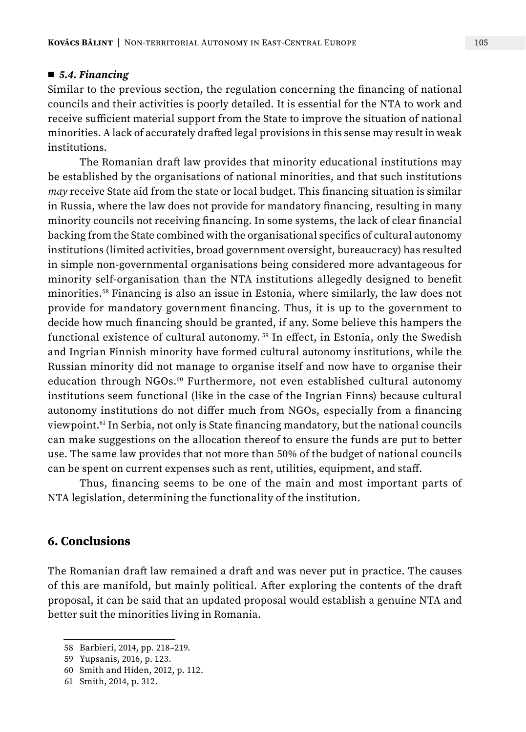#### ■ 5.4. Financing

Similar to the previous section, the regulation concerning the financing of national councils and their activities is poorly detailed. It is essential for the NTA to work and receive sufficient material support from the State to improve the situation of national minorities. A lack of accurately drafted legal provisions in this sense may result in weak institutions.

The Romanian draft law provides that minority educational institutions may be established by the organisations of national minorities, and that such institutions *may* receive State aid from the state or local budget. This financing situation is similar in Russia, where the law does not provide for mandatory financing, resulting in many minority councils not receiving financing. In some systems, the lack of clear financial backing from the State combined with the organisational specifics of cultural autonomy institutions (limited activities, broad government oversight, bureaucracy) has resulted in simple non-governmental organisations being considered more advantageous for minority self-organisation than the NTA institutions allegedly designed to benefit minorities.58 Financing is also an issue in Estonia, where similarly, the law does not provide for mandatory government financing. Thus, it is up to the government to decide how much financing should be granted, if any. Some believe this hampers the functional existence of cultural autonomy. 59 In effect, in Estonia, only the Swedish and Ingrian Finnish minority have formed cultural autonomy institutions, while the Russian minority did not manage to organise itself and now have to organise their education through NGOs.60 Furthermore, not even established cultural autonomy institutions seem functional (like in the case of the Ingrian Finns) because cultural autonomy institutions do not differ much from NGOs, especially from a financing viewpoint.61 In Serbia, not only is State financing mandatory, but the national councils can make suggestions on the allocation thereof to ensure the funds are put to better use. The same law provides that not more than 50% of the budget of national councils can be spent on current expenses such as rent, utilities, equipment, and staff.

Thus, financing seems to be one of the main and most important parts of NTA legislation, determining the functionality of the institution.

#### **6. Conclusions**

The Romanian draft law remained a draft and was never put in practice. The causes of this are manifold, but mainly political. After exploring the contents of the draft proposal, it can be said that an updated proposal would establish a genuine NTA and better suit the minorities living in Romania.

<sup>58</sup> Barbieri, 2014, pp. 218–219.

<sup>59</sup> Yupsanis, 2016, p. 123.

<sup>60</sup> Smith and Hiden, 2012, p. 112.

<sup>61</sup> Smith, 2014, p. 312.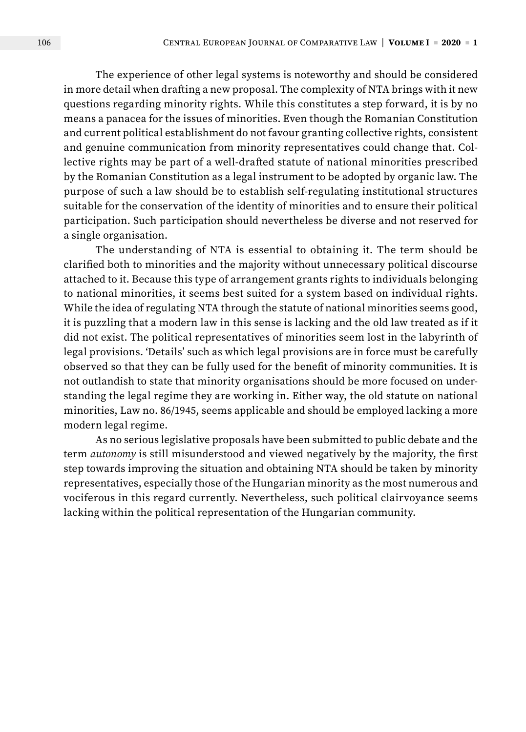The experience of other legal systems is noteworthy and should be considered in more detail when drafting a new proposal. The complexity of NTA brings with it new questions regarding minority rights. While this constitutes a step forward, it is by no means a panacea for the issues of minorities. Even though the Romanian Constitution and current political establishment do not favour granting collective rights, consistent and genuine communication from minority representatives could change that. Collective rights may be part of a well-drafted statute of national minorities prescribed by the Romanian Constitution as a legal instrument to be adopted by organic law. The purpose of such a law should be to establish self-regulating institutional structures suitable for the conservation of the identity of minorities and to ensure their political participation. Such participation should nevertheless be diverse and not reserved for a single organisation.

The understanding of NTA is essential to obtaining it. The term should be clarified both to minorities and the majority without unnecessary political discourse attached to it. Because this type of arrangement grants rights to individuals belonging to national minorities, it seems best suited for a system based on individual rights. While the idea of regulating NTA through the statute of national minorities seems good, it is puzzling that a modern law in this sense is lacking and the old law treated as if it did not exist. The political representatives of minorities seem lost in the labyrinth of legal provisions. 'Details' such as which legal provisions are in force must be carefully observed so that they can be fully used for the benefit of minority communities. It is not outlandish to state that minority organisations should be more focused on understanding the legal regime they are working in. Either way, the old statute on national minorities, Law no. 86/1945, seems applicable and should be employed lacking a more modern legal regime.

As no serious legislative proposals have been submitted to public debate and the term *autonomy* is still misunderstood and viewed negatively by the majority, the first step towards improving the situation and obtaining NTA should be taken by minority representatives, especially those of the Hungarian minority as the most numerous and vociferous in this regard currently. Nevertheless, such political clairvoyance seems lacking within the political representation of the Hungarian community.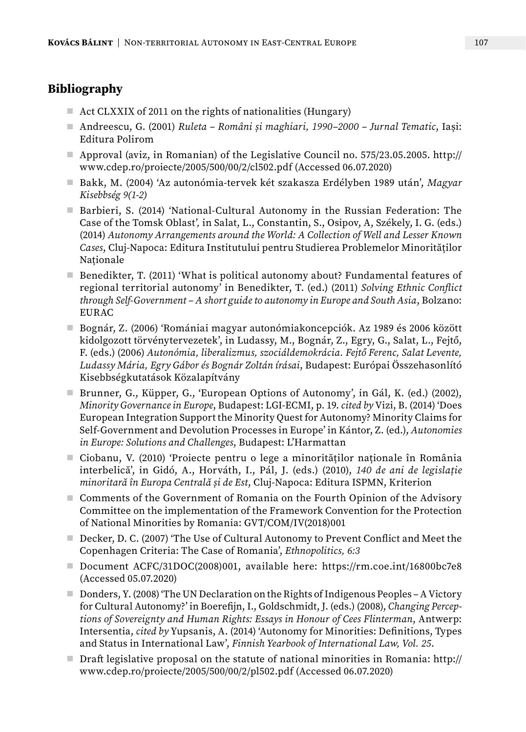# **Bibliography**

- Act CLXXIX of 2011 on the rights of nationalities (Hungary)
- Andreescu, G. (2001) *Ruleta Români și maghiari, 1990–2000 Jurnal Tematic*, Iași: Editura Polirom
- Approval (aviz, in Romanian) of the Legislative Council no. 575/23.05.2005. [http://](http://www.cdep.ro/proiecte/2005/500/00/2/cl502.pdf) [www.cdep.ro/proiecte/2005/500/00/2/cl502.pdf](http://www.cdep.ro/proiecte/2005/500/00/2/cl502.pdf) (Accessed 06.07.2020)
- Bakk, M. (2004) 'Az autonómia-tervek két szakasza Erdélyben 1989 után', *Magyar Kisebbség 9(1-2)*
- Barbieri, S. (2014) 'National-Cultural Autonomy in the Russian Federation: The Case of the Tomsk Oblast'*,* in Salat, L., Constantin, S., Osipov, A, Székely, I. G. (eds.) (2014) *Autonomy Arrangements around the World: A Collection of Well and Lesser Known Cases*, Cluj-Napoca: Editura Institutului pentru Studierea Problemelor Minorităților Naționale
- Benedikter, T. (2011) 'What is political autonomy about? Fundamental features of regional territorial autonomy' in Benedikter, T. (ed.) (2011) *Solving Ethnic Conflict through Self-Government – A short guide to autonomy in Europe and South Asia*, Bolzano: EURAC
- Bognár, Z. (2006) 'Romániai magyar autonómiakoncepciók. Az 1989 és 2006 között kidolgozott törvénytervezetek', in Ludassy, M., Bognár, Z., Egry, G., Salat, L., Fejtő, F. (eds.) (2006) *Autonómia, liberalizmus, szociáldemokrácia. Fejtő Ferenc, Salat Levente, Ludassy Mária, Egry Gábor és Bognár Zoltán írásai*, Budapest: Európai Összehasonlító Kisebbségkutatások Közalapítvány
- Brunner, G., Küpper, G., 'European Options of Autonomy', in Gál, K. (ed.) (2002), *Minority Governance in Europe*, Budapest: LGI-ECMI, p. 19. *cited by* Vizi, B. (2014) 'Does European Integration Support the Minority Quest for Autonomy? Minority Claims for Self-Government and Devolution Processes in Europe' in Kántor, Z. (ed.), *Autonomies in Europe: Solutions and Challenges*, Budapest: L'Harmattan
- Ciobanu, V. (2010) 'Proiecte pentru o lege a minorităților naționale în România interbelică', in Gidó, A., Horváth, I., Pál, J. (eds.) (2010), *140 de ani de legislație minoritară în Europa Centrală și de Est*, Cluj-Napoca: Editura ISPMN, Kriterion
- Comments of the Government of Romania on the Fourth Opinion of the Advisory Committee on the implementation of the Framework Convention for the Protection of National Minorities by Romania: GVT/COM/IV(2018)001
- Decker, D. C. (2007) 'The Use of Cultural Autonomy to Prevent Conflict and Meet the Copenhagen Criteria: The Case of Romania', *Ethnopolitics, 6:3*
- Document ACFC/31DOC(2008)001, available here: [https://rm.coe.int/16800bc7e8](https://rm.coe.int/16800bc7e8 ) (Accessed 05.07.2020)
- Donders, Y. (2008) 'The UN Declaration on the Rights of Indigenous Peoples A Victory for Cultural Autonomy?' in Boerefijn, I., Goldschmidt, J. (eds.) (2008), *Changing Perceptions of Sovereignty and Human Rights: Essays in Honour of Cees Flinterman*, Antwerp: Intersentia, *cited by* Yupsanis, A. (2014) 'Autonomy for Minorities: Definitions, Types and Status in International Law', *Finnish Yearbook of International Law, Vol. 25*.
- Draft legislative proposal on the statute of national minorities in Romania: [http://](http://www.cdep.ro/proiecte/2005/500/00/2/pl502.pdf) [www.cdep.ro/proiecte/2005/500/00/2/pl502.pdf](http://www.cdep.ro/proiecte/2005/500/00/2/pl502.pdf) (Accessed 06.07.2020)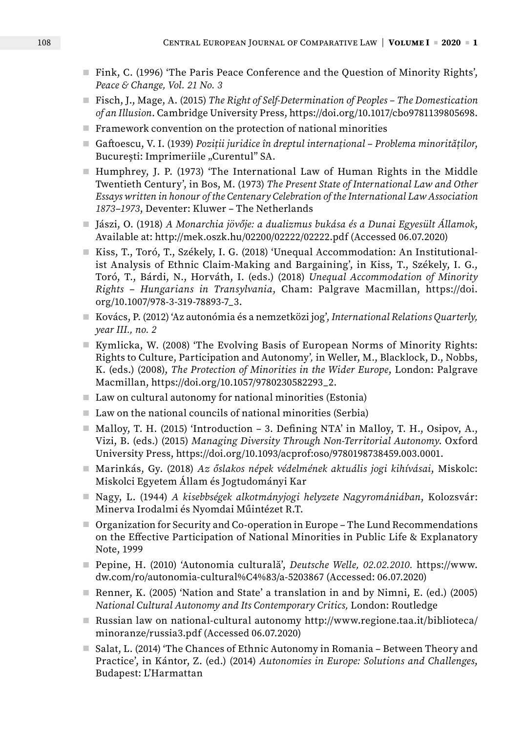- Fink, C. (1996) 'The Paris Peace Conference and the Question of Minority Rights', *Peace & Change, Vol. 21 No. 3*
- Fisch, J., Mage, A. (2015) *The Right of Self-Determination of Peoples The Domestication of an Illusion*. Cambridge University Press, https://doi.org/10.1017/cbo9781139805698.
- Framework convention on the protection of national minorities
- Gaftoescu, V. I. (1939) *Poziții juridice în dreptul internațional Problema minorităților*, București: Imprimeriile "Curentul" SA.
- Humphrey, J. P. (1973) 'The International Law of Human Rights in the Middle Twentieth Century', in Bos, M. (1973) *The Present State of International Law and Other Essays written in honour of the Centenary Celebration of the International Law Association 1873–1973*, Deventer: Kluwer – The Netherlands
- Jászi, O. (1918) *A Monarchia jövője: a dualizmus bukása és a Dunai Egyesült Államok*, Available at: <http://mek.oszk.hu/02200/02222/02222.pdf>(Accessed 06.07.2020)
- Kiss, T., Toró, T., Székely, I. G. (2018) 'Unequal Accommodation: An Institutionalist Analysis of Ethnic Claim-Making and Bargaining', in Kiss, T., Székely, I. G., Toró, T., Bárdi, N., Horváth, I. (eds.) (2018) *Unequal Accommodation of Minority Rights – Hungarians in Transylvania*, Cham: Palgrave Macmillan, https://doi. org/10.1007/978-3-319-78893-7\_3.
- Kovács, P. (2012) 'Az autonómia és a nemzetközi jog', *International Relations Quarterly, year III., no. 2*
- Kymlicka, W. (2008) 'The Evolving Basis of European Norms of Minority Rights: Rights to Culture, Participation and Autonomy'*,* in Weller, M., Blacklock, D., Nobbs, K. (eds.) (2008), *The Protection of Minorities in the Wider Europe*, London: Palgrave Macmillan, https://doi.org/10.1057/9780230582293\_2.
- Law on cultural autonomy for national minorities (Estonia)
- Law on the national councils of national minorities (Serbia)
- Malloy, T. H. (2015) 'Introduction 3. Defining NTA' in Malloy, T. H., Osipov, A., Vizi, B. (eds.) (2015) *Managing Diversity Through Non-Territorial Autonomy*. Oxford University Press, https://doi.org/10.1093/acprof:oso/9780198738459.003.0001.
- Marinkás, Gy. (2018) *Az őslakos népek védelmének aktuális jogi kihívásai*, Miskolc: Miskolci Egyetem Állam és Jogtudományi Kar
- Nagy, L. (1944) *A kisebbségek alkotmányjogi helyzete Nagyromániában*, Kolozsvár: Minerva Irodalmi és Nyomdai Műintézet R.T.
- Organization for Security and Co-operation in Europe The Lund Recommendations on the Effective Participation of National Minorities in Public Life & Explanatory Note, 1999
- Pepine, H. (2010) 'Autonomia culturală', *Deutsche Welle, 02.02.2010.* [https://www.](https://www.dw.com/ro/autonomia-cultural%C4%83/a-5203867) [dw.com/ro/autonomia-cultural%C4%83/a-5203867](https://www.dw.com/ro/autonomia-cultural%C4%83/a-5203867) (Accessed: 06.07.2020)
- Renner, K. (2005) 'Nation and State' a translation in and by Nimni, E. (ed.) (2005) *National Cultural Autonomy and Its Contemporary Critics,* London: Routledge
- Russian law on national-cultural autonomy [http://www.regione.taa.it/biblioteca/](http://www.regione.taa.it/biblioteca/minoranze/russia3.pdf) [minoranze/russia3.pdf](http://www.regione.taa.it/biblioteca/minoranze/russia3.pdf) (Accessed 06.07.2020)
- Salat, L. (2014) 'The Chances of Ethnic Autonomy in Romania Between Theory and Practice', in Kántor, Z. (ed.) (2014) *Autonomies in Europe: Solutions and Challenges*, Budapest: L'Harmattan